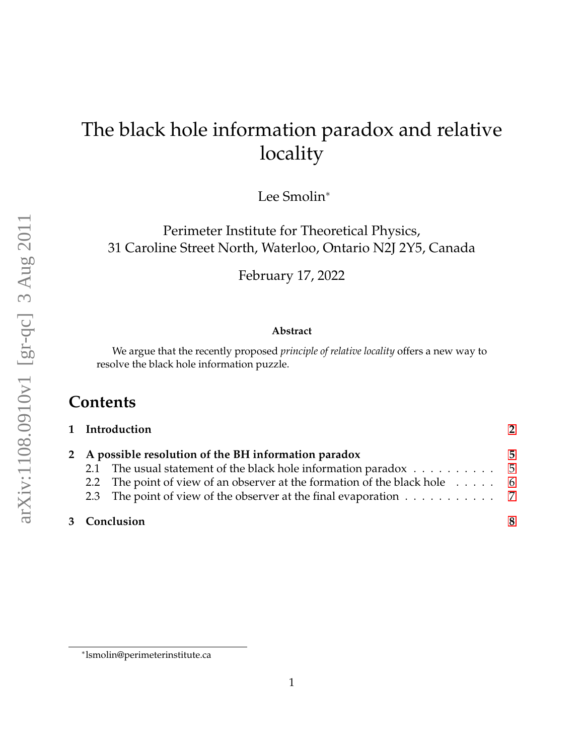# The black hole information paradox and relative locality

Lee Smolin<sup>∗</sup>

Perimeter Institute for Theoretical Physics, 31 Caroline Street North, Waterloo, Ontario N2J 2Y5, Canada

February 17, 2022

#### **Abstract**

We argue that the recently proposed *principle of relative locality* offers a new way to resolve the black hole information puzzle.

# **Contents**

|                                                       | 1 Introduction                                                                    | 2 |
|-------------------------------------------------------|-----------------------------------------------------------------------------------|---|
| 2 A possible resolution of the BH information paradox |                                                                                   | 5 |
|                                                       | 2.1 The usual statement of the black hole information paradox $\dots \dots \dots$ |   |
|                                                       | 2.2 The point of view of an observer at the formation of the black hole 6         |   |
|                                                       | 2.3 The point of view of the observer at the final evaporation 7                  |   |
| 3 Conclusion                                          |                                                                                   | Я |

<sup>∗</sup> lsmolin@perimeterinstitute.ca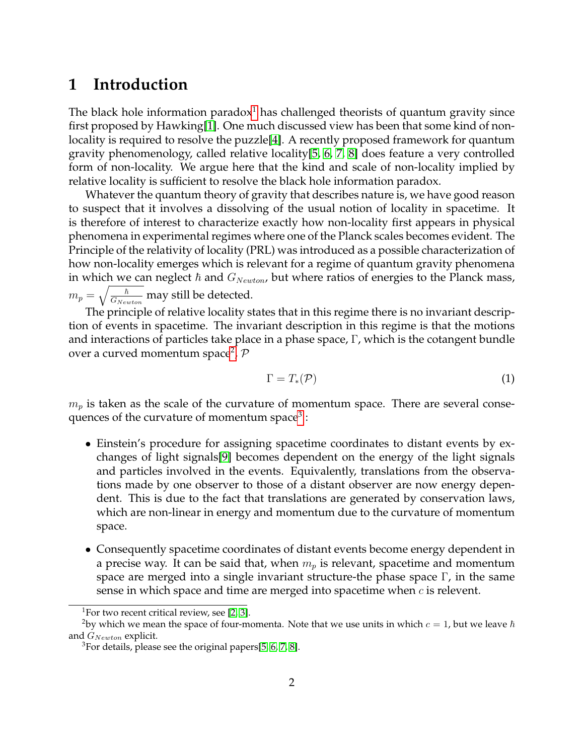### <span id="page-1-0"></span>**1 Introduction**

The black hole information paradox<sup>[1](#page-1-1)</sup> has challenged theorists of quantum gravity since first proposed by Hawking[\[1\]](#page-9-0). One much discussed view has been that some kind of nonlocality is required to resolve the puzzle[\[4\]](#page-9-1). A recently proposed framework for quantum gravity phenomenology, called relative locality[\[5,](#page-9-2) [6,](#page-9-3) [7,](#page-9-4) [8\]](#page-10-0) does feature a very controlled form of non-locality. We argue here that the kind and scale of non-locality implied by relative locality is sufficient to resolve the black hole information paradox.

Whatever the quantum theory of gravity that describes nature is, we have good reason to suspect that it involves a dissolving of the usual notion of locality in spacetime. It is therefore of interest to characterize exactly how non-locality first appears in physical phenomena in experimental regimes where one of the Planck scales becomes evident. The Principle of the relativity of locality (PRL) was introduced as a possible characterization of how non-locality emerges which is relevant for a regime of quantum gravity phenomena in which we can neglect  $\hbar$  and  $G_{Newton}$ , but where ratios of energies to the Planck mass,  $m_p = \sqrt{\frac{\hbar}{G_{N_{\rm{in}}}}}$  $\frac{h}{G_{Newton}}$  may still be detected.

The principle of relative locality states that in this regime there is no invariant description of events in spacetime. The invariant description in this regime is that the motions and interactions of particles take place in a phase space, Γ, which is the cotangent bundle over a curved momentum space<sup>[2](#page-1-2)</sup>,  $P$ 

$$
\Gamma = T_*(\mathcal{P}) \tag{1}
$$

 $m_p$  is taken as the scale of the curvature of momentum space. There are several consequences of the curvature of momentum space $^3$  $^3$  :

- Einstein's procedure for assigning spacetime coordinates to distant events by exchanges of light signals[\[9\]](#page-10-1) becomes dependent on the energy of the light signals and particles involved in the events. Equivalently, translations from the observations made by one observer to those of a distant observer are now energy dependent. This is due to the fact that translations are generated by conservation laws, which are non-linear in energy and momentum due to the curvature of momentum space.
- Consequently spacetime coordinates of distant events become energy dependent in a precise way. It can be said that, when  $m_p$  is relevant, spacetime and momentum space are merged into a single invariant structure-the phase space Γ, in the same sense in which space and time are merged into spacetime when  $c$  is relevent.

<span id="page-1-2"></span><span id="page-1-1"></span><sup>&</sup>lt;sup>1</sup>For two recent critical review, see [\[2,](#page-9-5) [3\]](#page-9-6).

<sup>&</sup>lt;sup>2</sup>by which we mean the space of four-momenta. Note that we use units in which  $c = 1$ , but we leave  $\hbar$ and  $G_{Newton}$  explicit.

<span id="page-1-3"></span> $3$ For details, please see the original papers[\[5,](#page-9-2) [6,](#page-9-3) [7,](#page-9-4) [8\]](#page-10-0).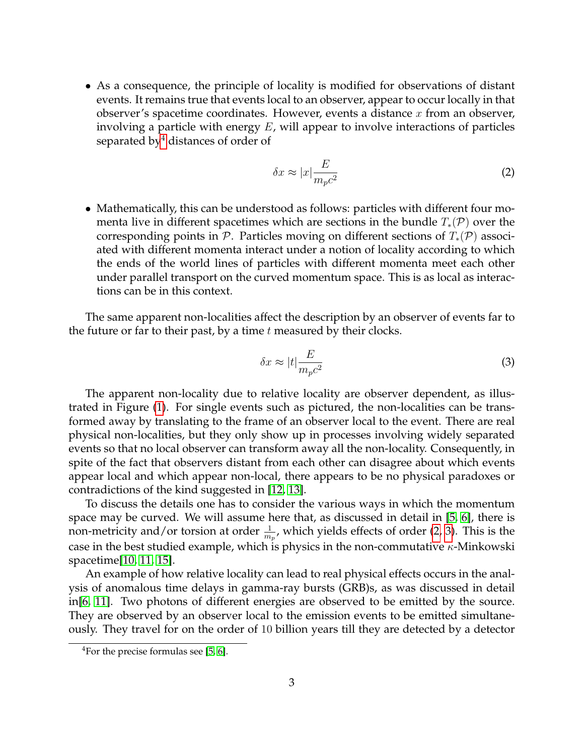• As a consequence, the principle of locality is modified for observations of distant events. It remains true that events local to an observer, appear to occur locally in that observer's spacetime coordinates. However, events a distance  $x$  from an observer, involving a particle with energy  $E$ , will appear to involve interactions of particles separated by<sup>[4](#page-2-0)</sup> distances of order of

<span id="page-2-2"></span>
$$
\delta x \approx |x| \frac{E}{m_p c^2} \tag{2}
$$

• Mathematically, this can be understood as follows: particles with different four momenta live in different spacetimes which are sections in the bundle  $T_*(\mathcal{P})$  over the corresponding points in  $\mathcal P$ . Particles moving on different sections of  $T_*(\mathcal P)$  associated with different momenta interact under a notion of locality according to which the ends of the world lines of particles with different momenta meet each other under parallel transport on the curved momentum space. This is as local as interactions can be in this context.

The same apparent non-localities affect the description by an observer of events far to the future or far to their past, by a time  $t$  measured by their clocks.

<span id="page-2-1"></span>
$$
\delta x \approx |t| \frac{E}{m_p c^2} \tag{3}
$$

The apparent non-locality due to relative locality are observer dependent, as illustrated in Figure [\(1\)](#page-2-1). For single events such as pictured, the non-localities can be transformed away by translating to the frame of an observer local to the event. There are real physical non-localities, but they only show up in processes involving widely separated events so that no local observer can transform away all the non-locality. Consequently, in spite of the fact that observers distant from each other can disagree about which events appear local and which appear non-local, there appears to be no physical paradoxes or contradictions of the kind suggested in [\[12,](#page-10-2) [13\]](#page-10-3).

To discuss the details one has to consider the various ways in which the momentum space may be curved. We will assume here that, as discussed in detail in [\[5,](#page-9-2) [6\]](#page-9-3), there is non-metricity and/or torsion at order  $\frac{1}{m_p}$ , which yields effects of order [\(2,](#page-2-2) [3\)](#page-2-1). This is the case in the best studied example, which is physics in the non-commutative  $\kappa$ -Minkowski spacetime[\[10,](#page-10-4) [11,](#page-10-5) [15\]](#page-10-6).

An example of how relative locality can lead to real physical effects occurs in the analysis of anomalous time delays in gamma-ray bursts (GRB)s, as was discussed in detail in[\[6,](#page-9-3) [11\]](#page-10-5). Two photons of different energies are observed to be emitted by the source. They are observed by an observer local to the emission events to be emitted simultaneously. They travel for on the order of 10 billion years till they are detected by a detector

<span id="page-2-0"></span><sup>&</sup>lt;sup>4</sup>For the precise formulas see [\[5,](#page-9-2) [6\]](#page-9-3).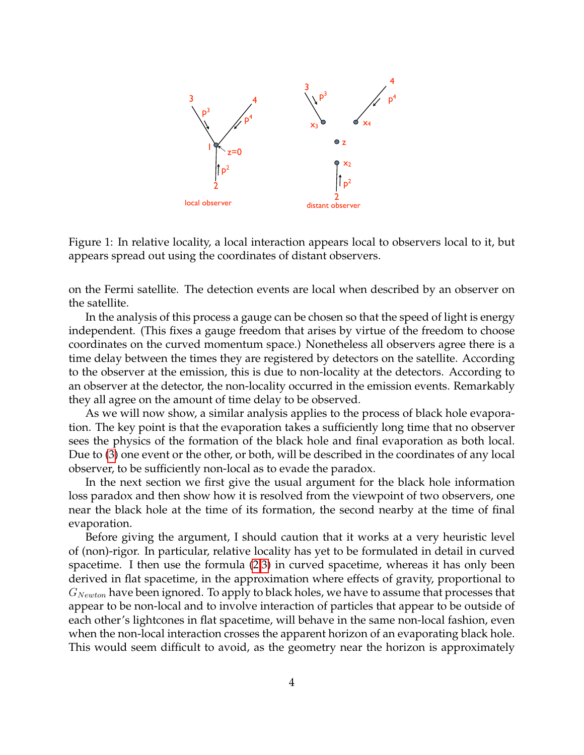

Figure 1: In relative locality, a local interaction appears local to observers local to it, but appears spread out using the coordinates of distant observers.

on the Fermi satellite. The detection events are local when described by an observer on the satellite.

In the analysis of this process a gauge can be chosen so that the speed of light is energy independent. (This fixes a gauge freedom that arises by virtue of the freedom to choose coordinates on the curved momentum space.) Nonetheless all observers agree there is a time delay between the times they are registered by detectors on the satellite. According to the observer at the emission, this is due to non-locality at the detectors. According to an observer at the detector, the non-locality occurred in the emission events. Remarkably they all agree on the amount of time delay to be observed.

As we will now show, a similar analysis applies to the process of black hole evaporation. The key point is that the evaporation takes a sufficiently long time that no observer sees the physics of the formation of the black hole and final evaporation as both local. Due to [\(3\)](#page-2-1) one event or the other, or both, will be described in the coordinates of any local observer, to be sufficiently non-local as to evade the paradox.

In the next section we first give the usual argument for the black hole information loss paradox and then show how it is resolved from the viewpoint of two observers, one near the black hole at the time of its formation, the second nearby at the time of final evaporation.

Before giving the argument, I should caution that it works at a very heuristic level of (non)-rigor. In particular, relative locality has yet to be formulated in detail in curved spacetime. I then use the formula [\(2](#page-2-2)[,3\)](#page-2-1) in curved spacetime, whereas it has only been derived in flat spacetime, in the approximation where effects of gravity, proportional to  $G_{Newton}$  have been ignored. To apply to black holes, we have to assume that processes that appear to be non-local and to involve interaction of particles that appear to be outside of each other's lightcones in flat spacetime, will behave in the same non-local fashion, even when the non-local interaction crosses the apparent horizon of an evaporating black hole. This would seem difficult to avoid, as the geometry near the horizon is approximately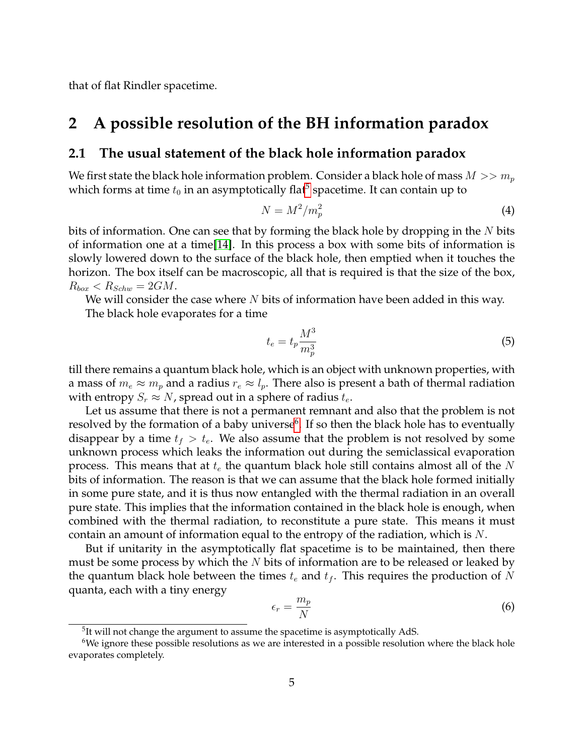that of flat Rindler spacetime.

### <span id="page-4-0"></span>**2 A possible resolution of the BH information paradox**

#### <span id="page-4-1"></span>**2.1 The usual statement of the black hole information paradox**

We first state the black hole information problem. Consider a black hole of mass  $M >> m_p$ which forms at time  $t_0$  in an asymptotically flat $^5$  $^5$  spacetime. It can contain up to

$$
N = M^2 / m_p^2 \tag{4}
$$

bits of information. One can see that by forming the black hole by dropping in the  $N$  bits of information one at a time[\[14\]](#page-10-7). In this process a box with some bits of information is slowly lowered down to the surface of the black hole, then emptied when it touches the horizon. The box itself can be macroscopic, all that is required is that the size of the box,  $R_{box} < R_{Schw} = 2GM.$ 

We will consider the case where  $N$  bits of information have been added in this way. The black hole evaporates for a time

$$
t_e = t_p \frac{M^3}{m_p^3} \tag{5}
$$

till there remains a quantum black hole, which is an object with unknown properties, with a mass of  $m_e \approx m_p$  and a radius  $r_e \approx l_p$ . There also is present a bath of thermal radiation with entropy  $S_r \approx N$ , spread out in a sphere of radius  $t_e$ .

Let us assume that there is not a permanent remnant and also that the problem is not resolved by the formation of a baby universe $\rm^6.$  $\rm^6.$  $\rm^6.$  If so then the black hole has to eventually disappear by a time  $t_f > t_e$ . We also assume that the problem is not resolved by some unknown process which leaks the information out during the semiclassical evaporation process. This means that at  $t_e$  the quantum black hole still contains almost all of the  $N$ bits of information. The reason is that we can assume that the black hole formed initially in some pure state, and it is thus now entangled with the thermal radiation in an overall pure state. This implies that the information contained in the black hole is enough, when combined with the thermal radiation, to reconstitute a pure state. This means it must contain an amount of information equal to the entropy of the radiation, which is N.

But if unitarity in the asymptotically flat spacetime is to be maintained, then there must be some process by which the  $N$  bits of information are to be released or leaked by the quantum black hole between the times  $t_e$  and  $t_f$ . This requires the production of N quanta, each with a tiny energy

$$
\epsilon_r = \frac{m_p}{N} \tag{6}
$$

<span id="page-4-3"></span><span id="page-4-2"></span> $5$ It will not change the argument to assume the spacetime is asymptotically AdS.

<sup>&</sup>lt;sup>6</sup>We ignore these possible resolutions as we are interested in a possible resolution where the black hole evaporates completely.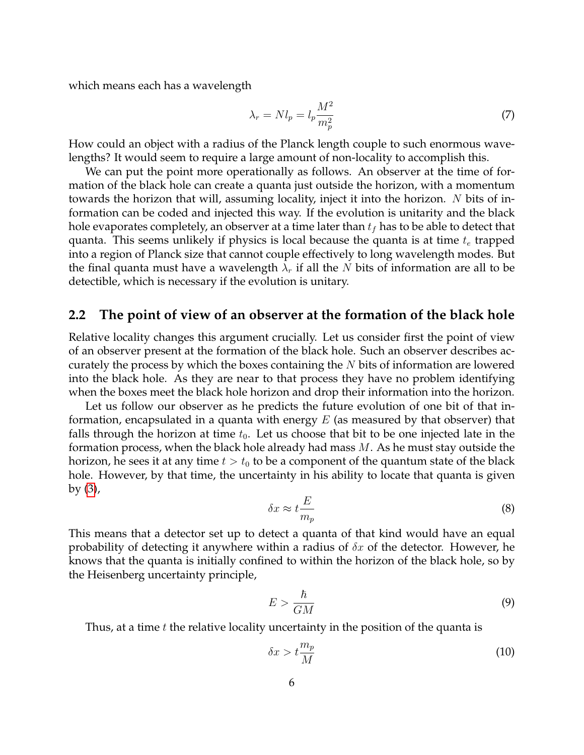which means each has a wavelength

$$
\lambda_r = N l_p = l_p \frac{M^2}{m_p^2} \tag{7}
$$

How could an object with a radius of the Planck length couple to such enormous wavelengths? It would seem to require a large amount of non-locality to accomplish this.

We can put the point more operationally as follows. An observer at the time of formation of the black hole can create a quanta just outside the horizon, with a momentum towards the horizon that will, assuming locality, inject it into the horizon. N bits of information can be coded and injected this way. If the evolution is unitarity and the black hole evaporates completely, an observer at a time later than  $t_f$  has to be able to detect that quanta. This seems unlikely if physics is local because the quanta is at time  $t_e$  trapped into a region of Planck size that cannot couple effectively to long wavelength modes. But the final quanta must have a wavelength  $\lambda_r$  if all the N bits of information are all to be detectible, which is necessary if the evolution is unitary.

#### <span id="page-5-0"></span>**2.2 The point of view of an observer at the formation of the black hole**

Relative locality changes this argument crucially. Let us consider first the point of view of an observer present at the formation of the black hole. Such an observer describes accurately the process by which the boxes containing the  $N$  bits of information are lowered into the black hole. As they are near to that process they have no problem identifying when the boxes meet the black hole horizon and drop their information into the horizon.

Let us follow our observer as he predicts the future evolution of one bit of that information, encapsulated in a quanta with energy  $E$  (as measured by that observer) that falls through the horizon at time  $t_0$ . Let us choose that bit to be one injected late in the formation process, when the black hole already had mass  $M$ . As he must stay outside the horizon, he sees it at any time  $t > t_0$  to be a component of the quantum state of the black hole. However, by that time, the uncertainty in his ability to locate that quanta is given by [\(3\)](#page-2-1),

$$
\delta x \approx t \frac{E}{m_p} \tag{8}
$$

This means that a detector set up to detect a quanta of that kind would have an equal probability of detecting it anywhere within a radius of  $\delta x$  of the detector. However, he knows that the quanta is initially confined to within the horizon of the black hole, so by the Heisenberg uncertainty principle,

$$
E > \frac{\hbar}{GM} \tag{9}
$$

Thus, at a time  $t$  the relative locality uncertainty in the position of the quanta is

$$
\delta x > t \frac{m_p}{M} \tag{10}
$$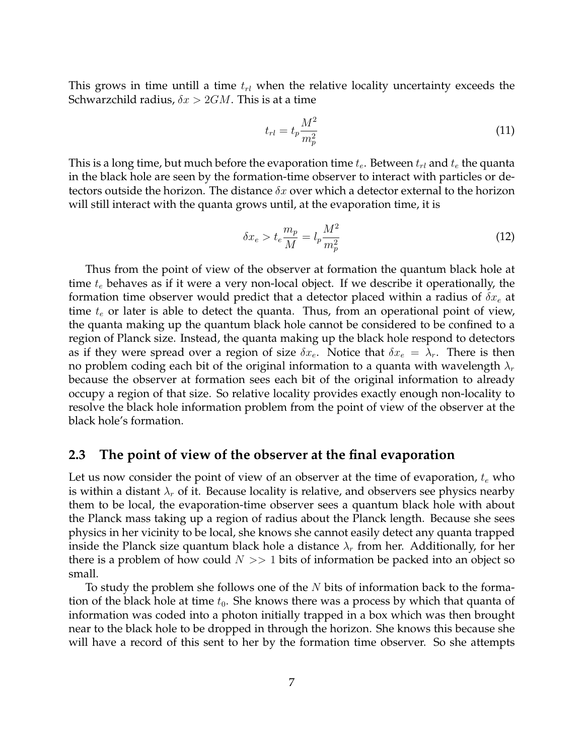This grows in time untill a time  $t_{rl}$  when the relative locality uncertainty exceeds the Schwarzchild radius,  $\delta x > 2GM$ . This is at a time

$$
t_{rl} = t_p \frac{M^2}{m_p^2} \tag{11}
$$

This is a long time, but much before the evaporation time  $t_e$ . Between  $t_{rl}$  and  $t_e$  the quanta in the black hole are seen by the formation-time observer to interact with particles or detectors outside the horizon. The distance  $\delta x$  over which a detector external to the horizon will still interact with the quanta grows until, at the evaporation time, it is

$$
\delta x_e > t_e \frac{m_p}{M} = l_p \frac{M^2}{m_p^2} \tag{12}
$$

Thus from the point of view of the observer at formation the quantum black hole at time  $t_e$  behaves as if it were a very non-local object. If we describe it operationally, the formation time observer would predict that a detector placed within a radius of  $\delta x_e$  at time  $t_e$  or later is able to detect the quanta. Thus, from an operational point of view, the quanta making up the quantum black hole cannot be considered to be confined to a region of Planck size. Instead, the quanta making up the black hole respond to detectors as if they were spread over a region of size  $\delta x_e$ . Notice that  $\delta x_e = \lambda_r$ . There is then no problem coding each bit of the original information to a quanta with wavelength  $\lambda_r$ because the observer at formation sees each bit of the original information to already occupy a region of that size. So relative locality provides exactly enough non-locality to resolve the black hole information problem from the point of view of the observer at the black hole's formation.

#### <span id="page-6-0"></span>**2.3 The point of view of the observer at the final evaporation**

Let us now consider the point of view of an observer at the time of evaporation,  $t_e$  who is within a distant  $\lambda_r$  of it. Because locality is relative, and observers see physics nearby them to be local, the evaporation-time observer sees a quantum black hole with about the Planck mass taking up a region of radius about the Planck length. Because she sees physics in her vicinity to be local, she knows she cannot easily detect any quanta trapped inside the Planck size quantum black hole a distance  $\lambda_r$  from her. Additionally, for her there is a problem of how could  $N >> 1$  bits of information be packed into an object so small.

To study the problem she follows one of the  $N$  bits of information back to the formation of the black hole at time  $t_0$ . She knows there was a process by which that quanta of information was coded into a photon initially trapped in a box which was then brought near to the black hole to be dropped in through the horizon. She knows this because she will have a record of this sent to her by the formation time observer. So she attempts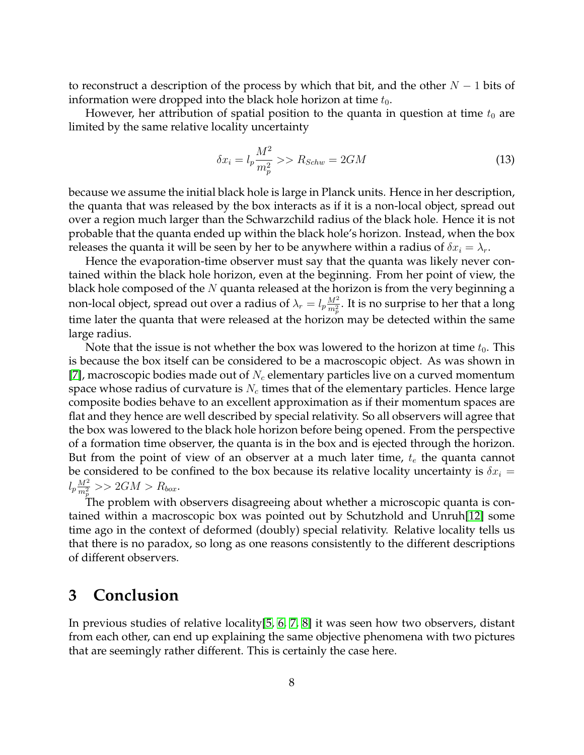to reconstruct a description of the process by which that bit, and the other  $N - 1$  bits of information were dropped into the black hole horizon at time  $t_0$ .

However, her attribution of spatial position to the quanta in question at time  $t_0$  are limited by the same relative locality uncertainty

$$
\delta x_i = l_p \frac{M^2}{m_p^2} \gg R_{Schw} = 2GM \tag{13}
$$

because we assume the initial black hole is large in Planck units. Hence in her description, the quanta that was released by the box interacts as if it is a non-local object, spread out over a region much larger than the Schwarzchild radius of the black hole. Hence it is not probable that the quanta ended up within the black hole's horizon. Instead, when the box releases the quanta it will be seen by her to be anywhere within a radius of  $\delta x_i = \lambda_r$ .

Hence the evaporation-time observer must say that the quanta was likely never contained within the black hole horizon, even at the beginning. From her point of view, the black hole composed of the  $N$  quanta released at the horizon is from the very beginning a non-local object, spread out over a radius of  $\lambda_r=l_p\frac{M^2}{m^2}$  $\frac{M^2}{m_p^2}$ . It is no surprise to her that a long time later the quanta that were released at the horizon may be detected within the same large radius.

Note that the issue is not whether the box was lowered to the horizon at time  $t_0$ . This is because the box itself can be considered to be a macroscopic object. As was shown in [\[7\]](#page-9-4), macroscopic bodies made out of  $N_c$  elementary particles live on a curved momentum space whose radius of curvature is  $N_c$  times that of the elementary particles. Hence large composite bodies behave to an excellent approximation as if their momentum spaces are flat and they hence are well described by special relativity. So all observers will agree that the box was lowered to the black hole horizon before being opened. From the perspective of a formation time observer, the quanta is in the box and is ejected through the horizon. But from the point of view of an observer at a much later time,  $t_e$  the quanta cannot be considered to be confined to the box because its relative locality uncertainty is  $\delta x_i =$  $l_p\frac{M^2}{m^2}$  $\frac{M^{2}}{m_{p}^{2}} >> 2GM > R_{box}.$ 

The problem with observers disagreeing about whether a microscopic quanta is contained within a macroscopic box was pointed out by Schutzhold and Unruh[\[12\]](#page-10-2) some time ago in the context of deformed (doubly) special relativity. Relative locality tells us that there is no paradox, so long as one reasons consistently to the different descriptions of different observers.

### <span id="page-7-0"></span>**3 Conclusion**

In previous studies of relative locality[\[5,](#page-9-2) [6,](#page-9-3) [7,](#page-9-4) [8\]](#page-10-0) it was seen how two observers, distant from each other, can end up explaining the same objective phenomena with two pictures that are seemingly rather different. This is certainly the case here.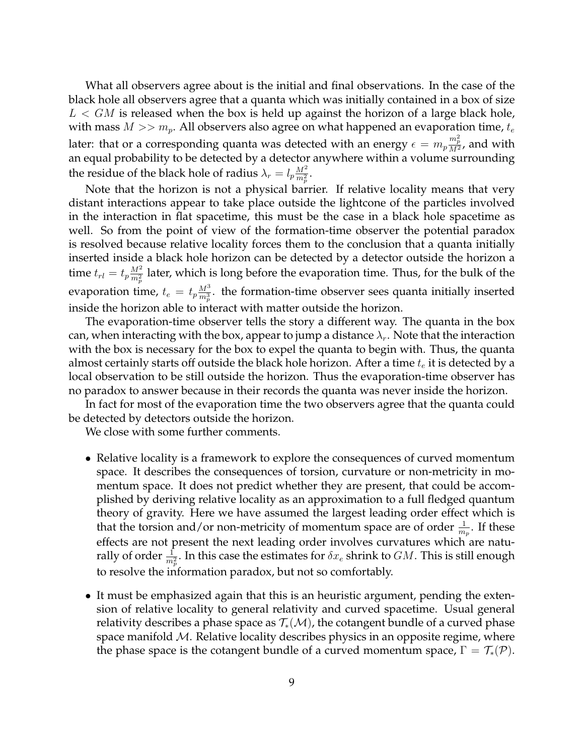What all observers agree about is the initial and final observations. In the case of the black hole all observers agree that a quanta which was initially contained in a box of size  $L < GM$  is released when the box is held up against the horizon of a large black hole, with mass  $M >> m_p$ . All observers also agree on what happened an evaporation time,  $t_e$ later: that or a corresponding quanta was detected with an energy  $\epsilon=m_p\frac{m_p^2}{M^2}$ , and with an equal probability to be detected by a detector anywhere within a volume surrounding the residue of the black hole of radius  $\lambda_r = l_p \frac{M^2}{m^2}$  $\frac{M^2}{m_p^2}.$ 

Note that the horizon is not a physical barrier. If relative locality means that very distant interactions appear to take place outside the lightcone of the particles involved in the interaction in flat spacetime, this must be the case in a black hole spacetime as well. So from the point of view of the formation-time observer the potential paradox is resolved because relative locality forces them to the conclusion that a quanta initially inserted inside a black hole horizon can be detected by a detector outside the horizon a time  $t_{rl} = t_p \frac{M^2}{m^2}$  $\frac{M^2}{m_p^2}$  later, which is long before the evaporation time. Thus, for the bulk of the evaporation time,  $t_e = t_p \frac{M^3}{m^3}$  $\frac{M^{\circ}}{m_p^3}$ . the formation-time observer sees quanta initially inserted inside the horizon able to interact with matter outside the horizon.

The evaporation-time observer tells the story a different way. The quanta in the box can, when interacting with the box, appear to jump a distance  $\lambda_r$ . Note that the interaction with the box is necessary for the box to expel the quanta to begin with. Thus, the quanta almost certainly starts off outside the black hole horizon. After a time  $t_e$  it is detected by a local observation to be still outside the horizon. Thus the evaporation-time observer has no paradox to answer because in their records the quanta was never inside the horizon.

In fact for most of the evaporation time the two observers agree that the quanta could be detected by detectors outside the horizon.

We close with some further comments.

- Relative locality is a framework to explore the consequences of curved momentum space. It describes the consequences of torsion, curvature or non-metricity in momentum space. It does not predict whether they are present, that could be accomplished by deriving relative locality as an approximation to a full fledged quantum theory of gravity. Here we have assumed the largest leading order effect which is that the torsion and/or non-metricity of momentum space are of order  $\frac{1}{m_p}$ . If these effects are not present the next leading order involves curvatures which are naturally of order  $\frac{1}{m_p^2}.$  In this case the estimates for  $\delta x_e$  shrink to  $GM.$  This is still enough to resolve the information paradox, but not so comfortably.
- It must be emphasized again that this is an heuristic argument, pending the extension of relative locality to general relativity and curved spacetime. Usual general relativity describes a phase space as  $\mathcal{T}_*(\mathcal{M})$ , the cotangent bundle of a curved phase space manifold  $M$ . Relative locality describes physics in an opposite regime, where the phase space is the cotangent bundle of a curved momentum space,  $\Gamma = \mathcal{T}_*(\mathcal{P})$ .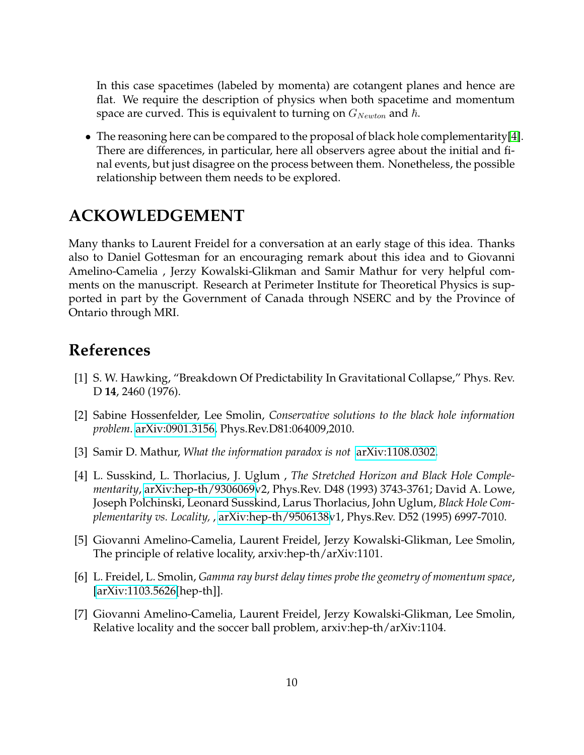In this case spacetimes (labeled by momenta) are cotangent planes and hence are flat. We require the description of physics when both spacetime and momentum space are curved. This is equivalent to turning on  $G_{Newton}$  and  $\hbar$ .

• The reasoning here can be compared to the proposal of black hole complementarity[\[4\]](#page-9-1). There are differences, in particular, here all observers agree about the initial and final events, but just disagree on the process between them. Nonetheless, the possible relationship between them needs to be explored.

# **ACKOWLEDGEMENT**

Many thanks to Laurent Freidel for a conversation at an early stage of this idea. Thanks also to Daniel Gottesman for an encouraging remark about this idea and to Giovanni Amelino-Camelia , Jerzy Kowalski-Glikman and Samir Mathur for very helpful comments on the manuscript. Research at Perimeter Institute for Theoretical Physics is supported in part by the Government of Canada through NSERC and by the Province of Ontario through MRI.

# **References**

- <span id="page-9-0"></span>[1] S. W. Hawking, "Breakdown Of Predictability In Gravitational Collapse," Phys. Rev. D **14**, 2460 (1976).
- <span id="page-9-5"></span>[2] Sabine Hossenfelder, Lee Smolin, *Conservative solutions to the black hole information problem*. [arXiv:0901.3156,](http://arxiv.org/abs/0901.3156) Phys.Rev.D81:064009,2010.
- <span id="page-9-6"></span>[3] Samir D. Mathur, *What the information paradox is not* [arXiv:1108.0302.](http://arxiv.org/abs/1108.0302)
- <span id="page-9-1"></span>[4] L. Susskind, L. Thorlacius, J. Uglum , *The Stretched Horizon and Black Hole Complementarity*, [arXiv:hep-th/9306069v](http://arxiv.org/abs/hep-th/9306069)2, Phys.Rev. D48 (1993) 3743-3761; David A. Lowe, Joseph Polchinski, Leonard Susskind, Larus Thorlacius, John Uglum, *Black Hole Complementarity vs. Locality,* , [arXiv:hep-th/9506138v](http://arxiv.org/abs/hep-th/9506138)1, Phys.Rev. D52 (1995) 6997-7010.
- <span id="page-9-2"></span>[5] Giovanni Amelino-Camelia, Laurent Freidel, Jerzy Kowalski-Glikman, Lee Smolin, The principle of relative locality, arxiv:hep-th/arXiv:1101.
- <span id="page-9-3"></span>[6] L. Freidel, L. Smolin, *Gamma ray burst delay times probe the geometry of momentum space*, [\[arXiv:1103.5626\[](http://arxiv.org/abs/1103.5626)hep-th]].
- <span id="page-9-4"></span>[7] Giovanni Amelino-Camelia, Laurent Freidel, Jerzy Kowalski-Glikman, Lee Smolin, Relative locality and the soccer ball problem, arxiv:hep-th/arXiv:1104.